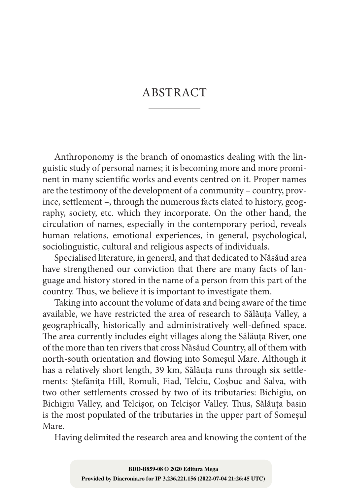## ABSTRACT

Anthroponomy is the branch of onomastics dealing with the linguistic study of personal names; it is becoming more and more promi‑ nent in many scientific works and events centred on it. Proper names are the testimony of the development of a community – country, province, settlement –, through the numerous facts elated to history, geography, society, etc. which they incorporate. On the other hand, the circulation of names, especially in the contemporary period, reveals human relations, emotional experiences, in general, psychological, sociolinguistic, cultural and religious aspects of individuals.

Specialised literature, in general, and that dedicated to Năsăud area have strengthened our conviction that there are many facts of language and history stored in the name of a person from this part of the country. Thus, we believe it is important to investigate them.

Taking into account the volume of data and being aware of the time available, we have restricted the area of research to Sălăuța Valley, a geographically, historically and administratively well‑defined space. The area currently includes eight villages along the Sălăuța River, one of the more than ten rivers that cross Năsăud Country, all of them with north‑south orientation and flowing into Someșul Mare. Although it has a relatively short length, 39 km, Sălăuța runs through six settlements: Ștefănița Hill, Romuli, Fiad, Telciu, Coșbuc and Salva, with two other settlements crossed by two of its tributaries: Bichigiu, on Bichigiu Valley, and Telcișor, on Telcișor Valley. Thus, Sălăuța basin is the most populated of the tributaries in the upper part of Someșul Mare.

Having delimited the research area and knowing the content of the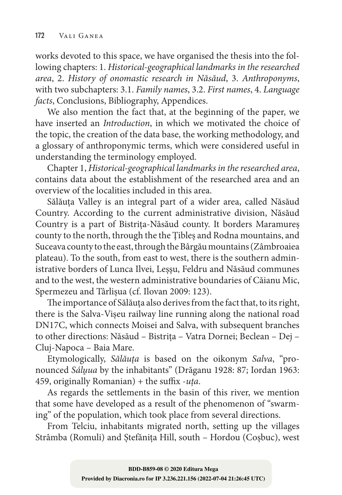works devoted to this space, we have organised the thesis into the following chapters: 1. *Historical-geographical landmarks in the researched area*, 2. *History of onomastic research in Năsăud*, 3. *Anthroponyms*, with two subchapters: 3.1. *Family names*, 3.2. *First names*, 4. *Language facts*, Conclusions, Bibliography, Appendices.

We also mention the fact that, at the beginning of the paper, we have inserted an *Introduction*, in which we motivated the choice of the topic, the creation of the data base, the working methodology, and a glossary of anthroponymic terms, which were considered useful in understanding the terminology employed.

Chapter 1, *Historical-geographical landmarks in the researched area*, contains data about the establishment of the researched area and an overview of the localities included in this area.

Sălăuța Valley is an integral part of a wider area, called Năsăud Country. According to the current administrative division, Năsăud Country is a part of Bistrița‑Năsăud county. It borders Maramureș county to the north, through the the Țibleș and Rodna mountains, and Suceava county to the east, through the Bârgău mountains (Zâmbroaiea plateau). To the south, from east to west, there is the southern administrative borders of Lunca Ilvei, Leșşu, Feldru and Năsăud communes and to the west, the western administrative boundaries of Căianu Mic, Spermezeu and Târlișua (cf. Ilovan 2009: 123).

The importance of Sălăuța also derives from the fact that, to its right, there is the Salva‑Vișeu railway line running along the national road DN17C, which connects Moisei and Salva, with subsequent branches to other directions: Năsăud – Bistrița – Vatra Dornei; Beclean – Dej – Cluj‑Napoca – Baia Mare.

Etymologically, *Sălăuța* is based on the oikonym *Salva*, "pro‑ nounced *Sálṷua* by the inhabitants" (Drăganu 1928: 87; Iordan 1963: 459, originally Romanian) + the suffix ‑*uța*.

As regards the settlements in the basin of this river, we mention that some have developed as a result of the phenomenon of "swarming" of the population, which took place from several directions.

From Telciu, inhabitants migrated north, setting up the villages Strâmba (Romuli) and Ștefănița Hill, south – Hordou (Coșbuc), west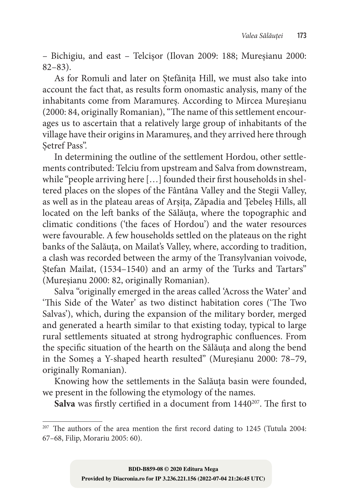– Bichigiu, and east – Telcișor (Ilovan 2009: 188; Mureșianu 2000: 82–83).

As for Romuli and later on Ștefănița Hill, we must also take into account the fact that, as results form onomastic analysis, many of the inhabitants come from Maramureș. According to Mircea Mureșianu (2000: 84, originally Romanian), "The name of this settlement encourages us to ascertain that a relatively large group of inhabitants of the village have their origins in Maramureș, and they arrived here through Setref Pass".

In determining the outline of the settlement Hordou, other settlements contributed: Telciu from upstream and Salva from downstream, while "people arriving here [...] founded their first households in sheltered places on the slopes of the Fântâna Valley and the Stegii Valley, as well as in the plateau areas of Arșița, Zăpadia and Țebeleș Hills, all located on the left banks of the Sălăuța, where the topographic and climatic conditions ('the faces of Hordou') and the water resources were favourable. A few households settled on the plateaus on the right banks of the Salăuța, on Mailat's Valley, where, according to tradition, a clash was recorded between the army of the Transylvanian voivode, Stefan Mailat, (1534–1540) and an army of the Turks and Tartars" (Mureşianu 2000: 82, originally Romanian).

Salva "originally emerged in the areas called 'Across the Water' and 'This Side of the Water' as two distinct habitation cores ('The Two Salvas'), which, during the expansion of the military border, merged and generated a hearth similar to that existing today, typical to large rural settlements situated at strong hydrographic confluences. From the specific situation of the hearth on the Sălăuța and along the bend in the Someș a Y‑shaped hearth resulted" (Mureşianu 2000: 78–79, originally Romanian).

Knowing how the settlements in the Salăuța basin were founded, we present in the following the etymology of the names.

Salva was firstly certified in a document from 1440<sup>207</sup>. The first to

<sup>&</sup>lt;sup>207</sup> The authors of the area mention the first record dating to 1245 (Tutula 2004: 67–68, Filip, Morariu 2005: 60).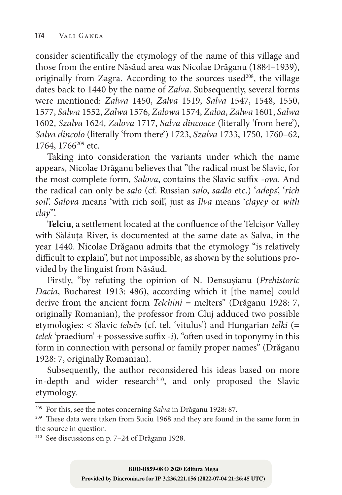consider scientifically the etymology of the name of this village and those from the entire Năsăud area was Nicolae Drăganu (1884–1939), originally from Zagra. According to the sources used $208$ , the village dates back to 1440 by the name of *Zalva*. Subsequently, several forms were mentioned: *Zalwa* 1450, *Zalva* 1519, *Salva* 1547, 1548, 1550, 1577, *Salwa* 1552, *Zalwa* 1576, *Zalowa* 1574, *Zaloa*, *Zalwa* 1601, *Salwa* 1602, *Szalva* 1624, *Zalova* 1717, *Salva dincoace* (literally 'from here'), *Salva dincolo* (literally 'from there') 1723, *Szalva* 1733, 1750, 1760–62, 1764, 1766<sup>209</sup> etc.

Taking into consideration the variants under which the name appears, Nicolae Drăganu believes that "the radical must be Slavic, for the most complete form, *Salova*, contains the Slavic suffix ‑*ova*. And the radical can only be *salo* (cf. Russian *salo*, *sadlo* etc.) '*adeps*', '*rich soil*'. *Salova* means 'with rich soil', just as *Ilva* means '*clayey* or *with clay*'".

Telciu, a settlement located at the confluence of the Telcisor Valley with Sălăuța River, is documented at the same date as Salva, in the year 1440. Nicolae Drăganu admits that the etymology "is relatively difficult to explain", but not impossible, as shown by the solutions provided by the linguist from Năsăud.

Firstly, "by refuting the opinion of N. Densușianu (*Prehistoric Dacia*, Bucharest 1913: 486), according which it [the name] could derive from the ancient form *Telchini* = melters" (Drăganu 1928: 7, originally Romanian), the professor from Cluj adduced two possible etymologies: < Slavic *telьčь* (cf. tel. 'vitulus') and Hungarian *telki* (= *telek* 'praedium' + possessive suffix *-i*), "often used in toponymy in this form in connection with personal or family proper names" (Drăganu 1928: 7, originally Romanian).

Subsequently, the author reconsidered his ideas based on more in-depth and wider research<sup>210</sup>, and only proposed the Slavic etymology.

<sup>208</sup> For this, see the notes concerning *Salva* in Drăganu 1928: 87.

<sup>209</sup> These data were taken from Suciu 1968 and they are found in the same form in the source in question.

<sup>210</sup> See discussions on p. 7–24 of Drăganu 1928.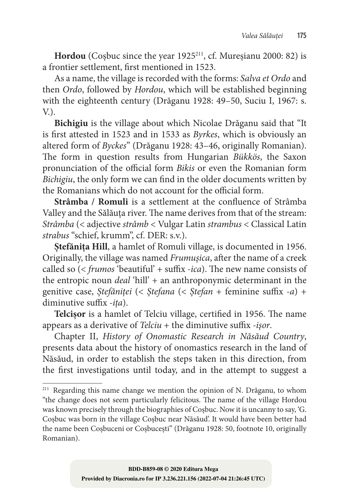Hordou (Cosbuc since the year 1925<sup>211</sup>, cf. Mureșianu 2000: 82) is a frontier settlement, first mentioned in 1523.

As a name, the village is recorded with the forms: *Salva et Ordo* and then *Ordo*, followed by *Hordou*, which will be established beginning with the eighteenth century (Drăganu 1928: 49–50, Suciu I, 1967: s.  $V<sub>1</sub>$ .

**Bichigiu** is the village about which Nicolae Drăganu said that "It is first attested in 1523 and in 1533 as *Byrkes*, which is obviously an altered form of *Byckes*" (Drăganu 1928: 43–46, originally Romanian). The form in question results from Hungarian *Bükkös*, the Saxon pronunciation of the official form *Bikis* or even the Romanian form *Bichigiu*, the only form we can find in the older documents written by the Romanians which do not account for the official form.

**Strâmba / Romuli** is a settlement at the confluence of Strâmba Valley and the Sălăuța river. The name derives from that of the stream: *Strâmba* (< adjective *strâmb* < Vulgar Latin *strambus* < Classical Latin *strabus* "schief, krumm", cf. DER: s.v.).

**Ștefănița Hill**, a hamlet of Romuli village, is documented in 1956. Originally, the village was named *Frumușica*, after the name of a creek called so (< *frumos* 'beautiful' + suffix *-ica*). The new name consists of the entropic noun *deal* 'hill' + an anthroponymic determinant in the genitive case, *Ștefăniței* (< *Ștefana* (< *Ștefan* + feminine suffix *-a*) + diminutive suffix *-ița*).

**Telcișor** is a hamlet of Telciu village, certified in 1956. The name appears as a derivative of *Telciu* + the diminutive suffix *-işor*.

Chapter II, *History of Onomastic Research in Năsăud Country*, presents data about the history of onomastics research in the land of Năsăud, in order to establish the steps taken in this direction, from the first investigations until today, and in the attempt to suggest a

<sup>&</sup>lt;sup>211</sup> Regarding this name change we mention the opinion of N. Drăganu, to whom "the change does not seem particularly felicitous. The name of the village Hordou was known precisely through the biographies of Coșbuc. Now it is uncanny to say, 'G. Coșbuc was born in the village Coșbuc near Năsăud'. It would have been better had the name been Coșbuceni or Coșbucești" (Drăganu 1928: 50, footnote 10, originally Romanian).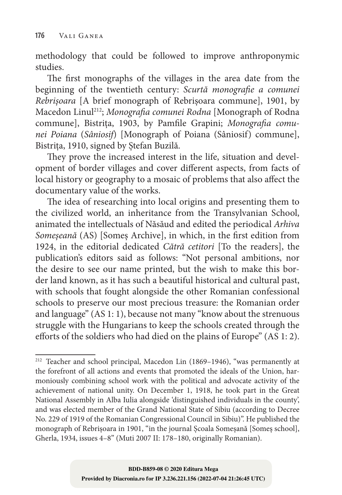methodology that could be followed to improve anthroponymic studies.

The first monographs of the villages in the area date from the beginning of the twentieth century: *Scurtă monografie a comunei Rebrișoara* [A brief monograph of Rebrișoara commune], 1901, by Macedon Linul212; *Monografia comunei Rodna* [Monograph of Rodna commune], Bistrița, 1903, by Pamfile Grapini; *Monografia comunei Poiana* (*Sâniosif*) [Monograph of Poiana (Sâniosif) commune], Bistrița, 1910, signed by Ștefan Buzilă.

They prove the increased interest in the life, situation and development of border villages and cover different aspects, from facts of local history or geography to a mosaic of problems that also affect the documentary value of the works.

The idea of researching into local origins and presenting them to the civilized world, an inheritance from the Transylvanian School, animated the intellectuals of Năsăud and edited the periodical *Arhiva Someșeană* (AS) [Someș Archive], in which, in the first edition from 1924, in the editorial dedicated *Cătră cetitori* [To the readers], the publication's editors said as follows: "Not personal ambitions, nor the desire to see our name printed, but the wish to make this border land known, as it has such a beautiful historical and cultural past, with schools that fought alongside the other Romanian confessional schools to preserve our most precious treasure: the Romanian order and language" (AS 1: 1), because not many "know about the strenuous struggle with the Hungarians to keep the schools created through the efforts of the soldiers who had died on the plains of Europe" (AS 1: 2).

<sup>212</sup> Teacher and school principal, Macedon Lin (1869–1946), "was permanently at the forefront of all actions and events that promoted the ideals of the Union, harmoniously combining school work with the political and advocate activity of the achievement of national unity. On December 1, 1918, he took part in the Great National Assembly in Alba Iulia alongside 'distinguished individuals in the county', and was elected member of the Grand National State of Sibiu (according to Decree No. 229 of 1919 of the Romanian Congressional Council in Sibiu)". He published the monograph of Rebrișoara in 1901, "in the journal Școala Someșană [Someş school], Gherla, 1934, issues 4–8" (Muti 2007 II: 178–180, originally Romanian).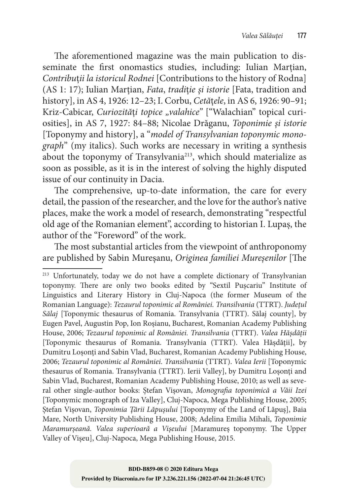The aforementioned magazine was the main publication to disseminate the first onomastics studies, including: Iulian Marțian, *Contribu*ț*ii la istoricul Rodnei* [Contributions to the history of Rodna] (AS 1: 17); Iulian Marțian, *Fata*, *tradi*ț*ie și istorie* [Fata, tradition and history], in AS 4, 1926: 12–23; I. Corbu, *Cetă*ț*ele*, in AS 6, 1926: 90–91; Kriz-Cabicar, *Curiozități topice* "valahice" ["Walachian" topical curiosities], in AS 7, 1927: 84–88; Nicolae Drăganu, *Toponimie și istorie* [Toponymy and history], a "*model of Transylvanian toponymic monograph*" (my italics). Such works are necessary in writing a synthesis about the toponymy of Transylvania<sup>213</sup>, which should materialize as soon as possible, as it is in the interest of solving the highly disputed issue of our continuity in Dacia.

The comprehensive, up-to-date information, the care for every detail, the passion of the researcher, and the love for the author's native places, make the work a model of research, demonstrating "respectful old age of the Romanian element", according to historian I. Lupaș, the author of the "Foreword" of the work.

The most substantial articles from the viewpoint of anthroponomy are published by Sabin Mureşanu, *Originea familiei Mureșenilor* [The

<sup>&</sup>lt;sup>213</sup> Unfortunately, today we do not have a complete dictionary of Transylvanian toponymy. There are only two books edited by "Sextil Pușcariu" Institute of Linguistics and Literary History in Cluj‑Napoca (the former Museum of the Romanian Language): *Tezaurul toponimic al României. Transilvania* (TTRT). *Județul Sălaj* [Toponymic thesaurus of Romania. Transylvania (TTRT). Sălaj county], by Eugen Pavel, Augustin Pop, Ion Roșianu, Bucharest, Romanian Academy Publishing House, 2006; *Tezaurul toponimic al României. Transilvania* (TTRT). *Valea Hășdății* [Toponymic thesaurus of Romania. Transylvania (TTRT). Valea Hășdății], by Dumitru Loșonți and Sabin Vlad, Bucharest, Romanian Academy Publishing House, 2006; *Tezaurul toponimic al României. Transilvania* (TTRT). *Valea Ierii* [Toponymic thesaurus of Romania. Transylvania (TTRT). Ierii Valley], by Dumitru Loșonți and Sabin Vlad, Bucharest, Romanian Academy Publishing House, 2010; as well as several other single‑author books: Ștefan Vișovan, *Monografia toponimică a Văii Izei* [Toponymic monograph of Iza Valley], Cluj-Napoca, Mega Publishing House, 2005;<br>Stefan Visovan, *Toponimia Tării Lăpusului* [Toponymy of the Land of Lăpus], Baia Ștefan Vișovan, *Toponimia Țării Lăpuşului* [Toponymy of the Land of Lăpuş], Baia Mare, North University Publishing House, 2008; Adelina Emilia Mihali, *Toponimie Maramurșeană. Valea superioară a Vișeului* [Maramureș toponymy. The Upper Valley of Vișeu], Cluj‑Napoca, Mega Publishing House, 2015.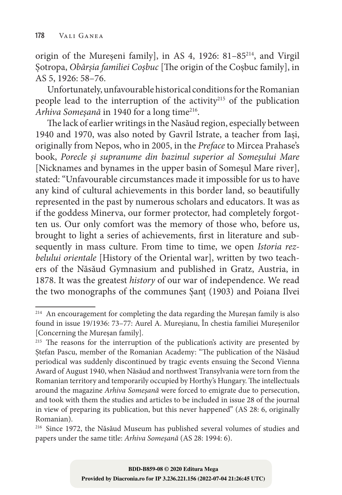origin of the Mureșeni family], in AS 4, 1926: 81–85214, and Virgil Șotropa, *Obârșia familiei Coșbuc* [The origin of the Coșbuc family], in AS 5, 1926: 58–76.

Unfortunately, unfavourable historical conditions for the Romanian people lead to the interruption of the activity<sup>215</sup> of the publication *Arhiva Someșană* in 1940 for a long time216.

The lack of earlier writings in the Nasăud region, especially between 1940 and 1970, was also noted by Gavril Istrate, a teacher from Iași, originally from Nepos, who in 2005, in the *Preface* to Mircea Prahase's book, *Porecle și supranume din bazinul superior al Someșului Mare*  [Nicknames and bynames in the upper basin of Someşul Mare river], stated: "Unfavourable circumstances made it impossible for us to have any kind of cultural achievements in this border land, so beautifully represented in the past by numerous scholars and educators. It was as if the goddess Minerva, our former protector, had completely forgotten us. Our only comfort was the memory of those who, before us, brought to light a series of achievements, first in literature and subsequently in mass culture. From time to time, we open *Istoria rezbelului orientale* [History of the Oriental war], written by two teachers of the Năsăud Gymnasium and published in Gratz, Austria, in 1878. It was the greatest *history* of our war of independence. We read the two monographs of the communes Șanț (1903) and Poiana Ilvei

<sup>214</sup> An encouragement for completing the data regarding the Mureșan family is also found in issue 19/1936: 73–77: Aurel A. Mureșianu, În chestia familiei Mureșenilor [Concerning the Muresan family].

<sup>&</sup>lt;sup>215</sup> The reasons for the interruption of the publication's activity are presented by Ștefan Pascu, member of the Romanian Academy: "The publication of the Năsăud periodical was suddenly discontinued by tragic events ensuing the Second Vienna Award of August 1940, when Năsăud and northwest Transylvania were torn from the Romanian territory and temporarily occupied by Horthy's Hungary. The intellectuals around the magazine *Arhiva Someșană* were forced to emigrate due to persecution, and took with them the studies and articles to be included in issue 28 of the journal in view of preparing its publication, but this never happened" (AS 28: 6, originally Romanian).

<sup>216</sup> Since 1972, the Năsăud Museum has published several volumes of studies and papers under the same title: *Arhiva Someșană* (AS 28: 1994: 6).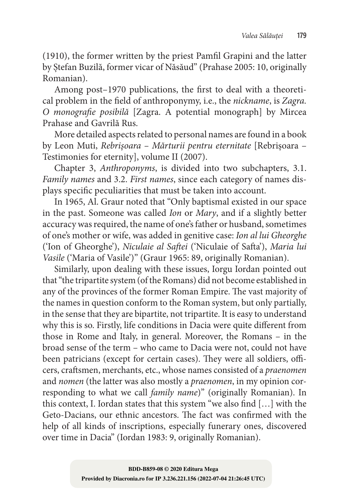(1910), the former written by the priest Pamfil Grapini and the latter by Ștefan Buzilă, former vicar of Năsăud" (Prahase 2005: 10, originally Romanian).

Among post–1970 publications, the first to deal with a theoretical problem in the field of anthroponymy, i.e., the *nickname*, is *Zagra. O monografie posibilă* [Zagra. A potential monograph] by Mircea Prahase and Gavrilă Rus.

More detailed aspects related to personal names are found in a book by Leon Muti, *Rebrișoara – Mărturii pentru eternitate* [Rebrișoara – Testimonies for eternity], volume II (2007).

Chapter 3, *Anthroponyms*, is divided into two subchapters, 3.1. *Family names* and 3.2. *First names*, since each category of names dis‑ plays specific peculiarities that must be taken into account.

In 1965, Al. Graur noted that "Only baptismal existed in our space in the past. Someone was called *Ion* or *Mary*, and if a slightly better accuracy was required, the name of one's father or husband, sometimes of one's mother or wife, was added in genitive case: *Ion al lui Gheorghe* ('Ion of Gheorghe'), *Niculaie al Saftei* ('Niculaie of Safta'), *Maria lui Vasile* ('Maria of Vasile')" (Graur 1965: 89, originally Romanian).

Similarly, upon dealing with these issues, Iorgu Iordan pointed out that "the tripartite system (of the Romans) did not become established in any of the provinces of the former Roman Empire. The vast majority of the names in question conform to the Roman system, but only partially, in the sense that they are bipartite, not tripartite. It is easy to understand why this is so. Firstly, life conditions in Dacia were quite different from those in Rome and Italy, in general. Moreover, the Romans – in the broad sense of the term – who came to Dacia were not, could not have been patricians (except for certain cases). They were all soldiers, officers, craftsmen, merchants, etc., whose names consisted of a *praenomen* and *nomen* (the latter was also mostly a *praenomen*, in my opinion corresponding to what we call *family name*)" (originally Romanian). In this context, I. Iordan states that this system "we also find […] with the Geto‑Dacians, our ethnic ancestors. The fact was confirmed with the help of all kinds of inscriptions, especially funerary ones, discovered over time in Dacia" (Iordan 1983: 9, originally Romanian).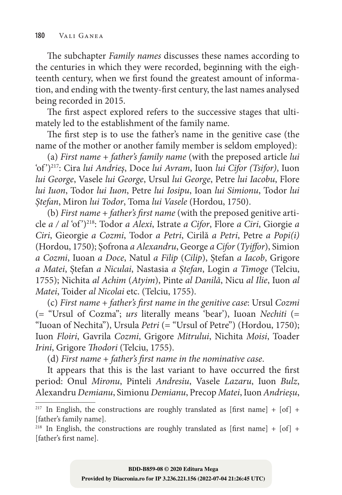The subchapter *Family names* discusses these names according to the centuries in which they were recorded, beginning with the eighteenth century, when we first found the greatest amount of information, and ending with the twenty‑first century, the last names analysed being recorded in 2015.

The first aspect explored refers to the successive stages that ultimately led to the establishment of the family name.

The first step is to use the father's name in the genitive case (the name of the mother or another family member is seldom employed):

(a) *First name* + *father's family name* (with the preposed article *lui* 'of ')217: Cira *lui Andrieș*, Doce *lui Avram*, Iuon *lui Cifor (Tsifor)*, Iuon *lui George*, Vasele *lui George*, Ursul *lui George*, Petre *lui Iacobu*, Flore *lui Iuon*, Todor *lui Iuon*, Petre *lui Iosipu*, Ioan *lui Simionu*, Todor *lui Ștefan*, Miron *lui Todor*, Toma *lui Vasele* (Hordou, 1750).

(b) *First name* + *father's first name* (with the preposed genitive article *a / al* 'of ')218: Todor *a Alexi*, Istrate *a Cifor*, Flore *a Ciri*, Giorgie *a Ciri*, Gieorgie *a Cozmi*, Todor *a Petri*, Cirilă *a Petri*, Petre *a Popi(i)*  (Hordou, 1750); Șofrona *a Alexandru*, George *a Cifor* (*Tyiffor*), Simion *a Cozmi*, Iuoan *a Doce*, Natul *a Filip* (*Cilip*), Ștefan *a Iacob*, Grigore *a Matei*, Ștefan *a Niculai*, Nastasia *a Ștefan*, Login *a Timoge* (Telciu, 1755); Nichita *al Achim* (*Atyim*), Pinte *al Danilă*, Nicu *al Ilie*, Iuon *al Matei*, Toider *al Nicolai* etc. (Telciu, 1755).

(c) *First name* + *father's first name in the genitive case*: Ursul *Cozmi* (= "Ursul of Cozma"; *urs* literally means 'bear'), Iuoan *Nechiti* (= "Iuoan of Nechita"), Ursula *Petri* (= "Ursul of Petre") (Hordou, 1750); Iuon *Floiri*, Gavrila *Cozmi*, Grigore *Mitrului*, Nichita *Moisi*, Toader *Irini*, Grigore *Thodori* (Telciu, 1755).

(d) *First name* + *father's first name in the nominative case*.

It appears that this is the last variant to have occurred the first period: Onul *Mironu*, Pinteli *Andresiu*, Vasele *Lazaru*, Iuon *Bulz*, Alexandru *Demianu*, Simionu *Demianu*, Precop *Matei*, Iuon *Andrieșu*,

<sup>&</sup>lt;sup>217</sup> In English, the constructions are roughly translated as [first name] + [of] + [father's family name].

<sup>&</sup>lt;sup>218</sup> In English, the constructions are roughly translated as [first name] + [of] + [father's first name].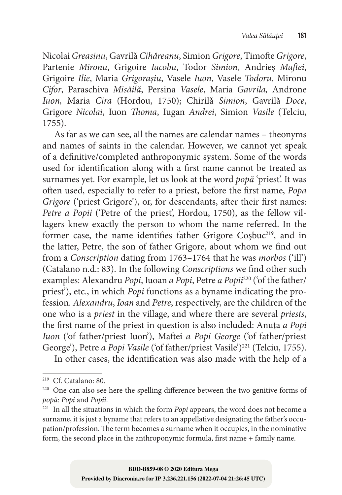Nicolai *Greasinu*, Gavrilă *Cihăreanu*, Simion *Grigore*, Timofte *Grigore*, Partenie *Mironu*, Grigoire *Iacobu*, Todor *Simion*, Andrieș *Maftei*, Grigoire *Ilie*, Maria *Grigorașiu*, Vasele *Iuon*, Vasele *Todoru*, Mironu *Cifor*, Paraschiva *Misăilă*, Persina *Vasele*, Maria *Gavrila,* Androne *Iuon,* Maria *Cira* (Hordou, 1750); Chirilă *Simion*, Gavrilă *Doce*, Grigore *Nicolai*, Iuon *Thoma*, Iugan *Andrei*, Simion *Vasile* (Telciu, 1755).

As far as we can see, all the names are calendar names – theonyms and names of saints in the calendar. However, we cannot yet speak of a definitive/completed anthroponymic system. Some of the words used for identification along with a first name cannot be treated as surnames yet. For example, let us look at the word *popă* 'priest'. It was often used, especially to refer to a priest, before the first name, *Popa Grigore* ('priest Grigore'), or, for descendants, after their first names: *Petre a Popii* ('Petre of the priest', Hordou, 1750), as the fellow villagers knew exactly the person to whom the name referred. In the former case, the name identifies father Grigore Cosbuc<sup>219</sup>, and in the latter, Petre, the son of father Grigore, about whom we find out from a *Conscription* dating from 1763–1764 that he was *morbos* ('ill') (Catalano n.d.: 83). In the following *Conscriptions* we find other such examples: Alexandru *Popi*, Iuoan *a Popi*, Petre *a Popii*220 ('of the father/ priest'), etc., in which *Popi* functions as a byname indicating the profession. *Alexandru*, *Ioan* and *Petre*, respectively, are the children of the one who is a *priest* in the village, and where there are several *priests*, the first name of the priest in question is also included: Anuța *a Popi Iuon* ('of father/priest Iuon'), Maftei *a Popi George* ('of father/priest George'), Petre *a Popi Vasile* ('of father/priest Vasile')<sup>221</sup> (Telciu, 1755).

In other cases, the identification was also made with the help of a

<sup>219</sup> Cf. Catalano: 80.

 $220$  One can also see here the spelling difference between the two genitive forms of *popă*: *Popi* and *Popii*.

<sup>221</sup> In all the situations in which the form *Popi* appears, the word does not become a surname, it is just a byname that refers to an appellative designating the father's occupation/profession. The term becomes a surname when it occupies, in the nominative form, the second place in the anthroponymic formula, first name + family name.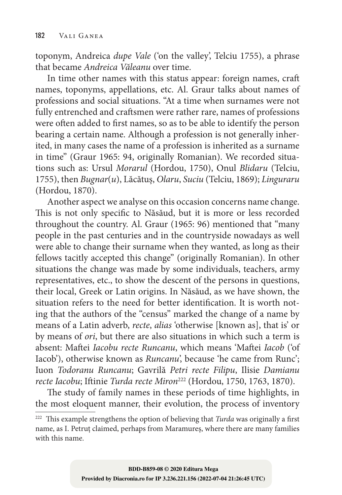toponym, Andreica *dupe Vale* ('on the valley', Telciu 1755), a phrase that became *Andreica Văleanu* over time.

In time other names with this status appear: foreign names, craft names, toponyms, appellations, etc. Al. Graur talks about names of professions and social situations. "At a time when surnames were not fully entrenched and craftsmen were rather rare, names of professions were often added to first names, so as to be able to identify the person bearing a certain name. Although a profession is not generally inherited, in many cases the name of a profession is inherited as a surname in time" (Graur 1965: 94, originally Romanian). We recorded situations such as: Ursul *Morarul* (Hordou, 1750), Onul *Blidaru* (Telciu, 1755), then *Bugnar*(*u*), Lăcătuș, *Olaru*, *Suciu* (Telciu, 1869); *Linguraru*  (Hordou, 1870).

Another aspect we analyse on this occasion concerns name change. This is not only specific to Năsăud, but it is more or less recorded throughout the country. Al. Graur (1965: 96) mentioned that "many people in the past centuries and in the countryside nowadays as well were able to change their surname when they wanted, as long as their fellows tacitly accepted this change" (originally Romanian). In other situations the change was made by some individuals, teachers, army representatives, etc., to show the descent of the persons in questions, their local, Greek or Latin origins. In Năsăud, as we have shown, the situation refers to the need for better identification. It is worth noting that the authors of the "census" marked the change of a name by means of a Latin adverb, *recte*, *alias* 'otherwise [known as], that is' or by means of *ori*, but there are also situations in which such a term is absent: Maftei *Iacobu recte Runcanu*, which means 'Maftei *Iacob* ('of Iacob'), otherwise known as *Runcanu*', because 'he came from Runc'; Iuon *Todoranu Runcanu*; Gavrilă *Petri recte Filipu*, Ilisie *Damianu recte Iacobu*; Iftinie *Turda recte Miron*222 (Hordou, 1750, 1763, 1870).

The study of family names in these periods of time highlights, in the most eloquent manner, their evolution, the process of inventory

<sup>&</sup>lt;sup>222</sup> This example strengthens the option of believing that *Turda* was originally a first name, as I. Petruț claimed, perhaps from Maramureș, where there are many families with this name.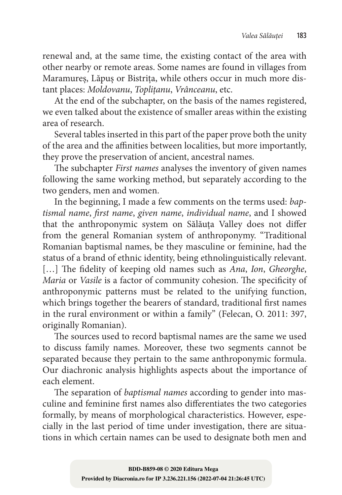renewal and, at the same time, the existing contact of the area with other nearby or remote areas. Some names are found in villages from Maramureș, Lăpuș or Bistrița, while others occur in much more distant places: *Moldovanu*, *Toplițanu*, *Vrânceanu*, etc.

At the end of the subchapter, on the basis of the names registered, we even talked about the existence of smaller areas within the existing area of research.

Several tables inserted in this part of the paper prove both the unity of the area and the affinities between localities, but more importantly, they prove the preservation of ancient, ancestral names.

The subchapter *First names* analyses the inventory of given names following the same working method, but separately according to the two genders, men and women.

In the beginning, I made a few comments on the terms used: *baptismal name*, *first name*, *given name*, *individual name*, and I showed that the anthroponymic system on Sălăuța Valley does not differ from the general Romanian system of anthroponymy. "Traditional Romanian baptismal names, be they masculine or feminine, had the status of a brand of ethnic identity, being ethnolinguistically relevant. […] The fidelity of keeping old names such as *Ana*, *Ion*, *Gheorghe*, *Maria* or *Vasile* is a factor of community cohesion. The specificity of anthroponymic patterns must be related to the unifying function, which brings together the bearers of standard, traditional first names in the rural environment or within a family" (Felecan, O. 2011: 397, originally Romanian).

The sources used to record baptismal names are the same we used to discuss family names. Moreover, these two segments cannot be separated because they pertain to the same anthroponymic formula. Our diachronic analysis highlights aspects about the importance of each element.

The separation of *baptismal names* according to gender into masculine and feminine first names also differentiates the two categories formally, by means of morphological characteristics. However, especially in the last period of time under investigation, there are situations in which certain names can be used to designate both men and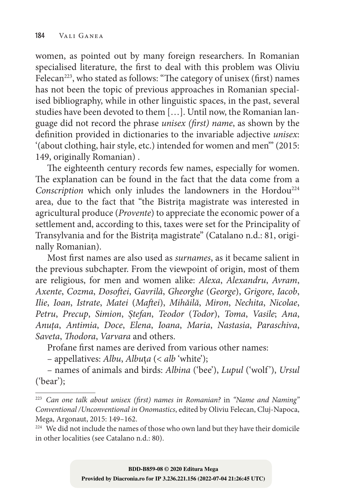women, as pointed out by many foreign researchers. In Romanian specialised literature, the first to deal with this problem was Oliviu Felecan<sup>223</sup>, who stated as follows: "The category of unisex (first) names has not been the topic of previous approaches in Romanian specialised bibliography, while in other linguistic spaces, in the past, several studies have been devoted to them [...]. Until now, the Romanian language did not record the phrase *unisex (first) name*, as shown by the definition provided in dictionaries to the invariable adjective *unisex*: '(about clothing, hair style, etc.) intended for women and men'" (2015: 149, originally Romanian) .

The eighteenth century records few names, especially for women. The explanation can be found in the fact that the data come from a *Conscription* which only inludes the landowners in the Hordou<sup>224</sup> area, due to the fact that "the Bistrița magistrate was interested in agricultural produce (*Provente*) to appreciate the economic power of a settlement and, according to this, taxes were set for the Principality of Transylvania and for the Bistrița magistrate" (Catalano n.d.: 81, originally Romanian).

Most first names are also used as *surnames*, as it became salient in the previous subchapter. From the viewpoint of origin, most of them are religious, for men and women alike: *Alexa*, *Alexandru*, *Avram*, *Axente*, *Cozma*, *Dosoftei*, *Gavrilă*, *Gheorghe* (*George*), *Grigore*, *Iacob*, *Ilie*, *Ioan*, *Istrate*, *Matei* (*Maftei*), *Mihăilă*, *Miron*, *Nechita*, *Nicolae*, *Petru*, *Precup*, *Simion*, *Ștefan*, *Teodor* (*Todor*), *Toma*, *Vasile*; *Ana*, *Anuța*, *Antimia*, *Doce*, *Elena*, *Ioana*, *Maria*, *Nastasia*, *Paraschiva*, *Saveta*, *Thodora*, *Varvara* and others.

Profane first names are derived from various other names:

– appellatives: *Albu*, *Albu*ț*a* (< *alb* 'white');

– names of animals and birds: *Albina* ('bee'), *Lupul* ('wolf '), *Ursul*  ('bear');

<sup>223</sup> *Can one talk about unisex (first) names in Romanian?* in *"Name and Naming" Conventional /Unconventional in Onomastics*, edited by Oliviu Felecan, Cluj‑Napoca, Mega, Argonaut, 2015: 149–162.

<sup>&</sup>lt;sup>224</sup> We did not include the names of those who own land but they have their domicile in other localities (see Catalano n.d.: 80).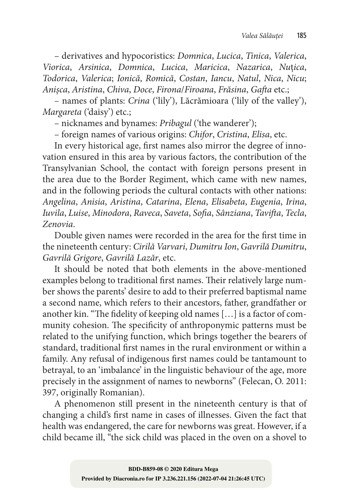– derivatives and hypocoristics: *Domnica*, *Lucica*, *Tinica*, *Valerica*, *Viorica*, *Arsinica*, *Domnica*, *Lucica*, *Maricica*, *Nazarica*, *Nu*ț*ica*, *Todorica*, *Valerica*; *Ionică*, *Romică*, *Costan*, *Iancu*, *Natul*, *Nica*, *Nicu*; *Anișca*, *Aristina*, *Chiva*, *Doce*, *Firona*/*Firoana*, *Frăsina*, *Gafta* etc.;

– names of plants: *Crina* ('lily'), Lăcrămioara ('lily of the valley'), *Margareta* ('daisy') etc.;

– nicknames and bynames: *Pribagul* ('the wanderer');

– foreign names of various origins: *Chifor*, *Cristina*, *Elisa*, etc.

In every historical age, first names also mirror the degree of innovation ensured in this area by various factors, the contribution of the Transylvanian School, the contact with foreign persons present in the area due to the Border Regiment, which came with new names, and in the following periods the cultural contacts with other nations: *Angelina*, *Anisia*, *Aristina*, *Catarina*, *Elena*, *Elisabeta*, *Eugenia*, *Irina*, *Iuvila*, *Luise*, *Minodora*, *Raveca*, *Saveta*, *Sofia*, *Sânziana*, *Tavifta*, *Tecla*, *Zenovia*.

Double given names were recorded in the area for the first time in the nineteenth century: *Cirilă Varvari*, *Dumitru Ion*, *Gavrilă Dumitru*, *Gavrilă Grigore*, *Gavrilă Lazăr*, etc.

It should be noted that both elements in the above-mentioned examples belong to traditional first names. Their relatively large number shows the parents' desire to add to their preferred baptismal name a second name, which refers to their ancestors, father, grandfather or another kin. "The fidelity of keeping old names [...] is a factor of community cohesion. The specificity of anthroponymic patterns must be related to the unifying function, which brings together the bearers of standard, traditional first names in the rural environment or within a family. Any refusal of indigenous first names could be tantamount to betrayal, to an 'imbalance' in the linguistic behaviour of the age, more precisely in the assignment of names to newborns" (Felecan, O. 2011: 397, originally Romanian).

A phenomenon still present in the nineteenth century is that of changing a child's first name in cases of illnesses. Given the fact that health was endangered, the care for newborns was great. However, if a child became ill, "the sick child was placed in the oven on a shovel to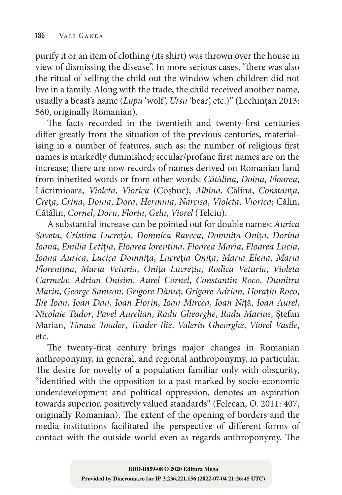purify it or an item of clothing (its shirt) was thrown over the house in view of dismissing the disease". In more serious cases, "there was also the ritual of selling the child out the window when children did not live in a family. Along with the trade, the child received another name, usually a beast's name (*Lupu* 'wolf', *Ursu* 'bear', etc.)" (Lechințan 2013: 560, originally Romanian).

The facts recorded in the twentieth and twenty-first centuries differ greatly from the situation of the previous centuries, material– ising in a number of features, such as: the number of religious first names is markedly diminished; secular/profane first names are on the increase; there are now records of names derived on Romanian land from inherited words or from other words: *Cătălina*, *Doina*, *Floarea*, Lăcrimioara, *Violeta*, *Viorica* (Coșbuc); *Albina*, Călina, *Constan*ț*a*, *Cre*ț*a*, *Crina*, *Doina*, *Dora*, *Hermina*, *Narcisa*, *Violeta*, *Viorica*; Călin, Cătălin, *Cornel*, *Doru*, *Florin*, *Gelu*, *Viorel* (Telciu).

A substantial increase can be pointed out for double names: *Aurica Saveta*, *Cristina Lucre*ț*ia*, *Domnica Raveca*, *Domni*ț*a Oni*ț*a*, *Dorina Ioana*, *Emilia Leti*ț*ia*, *Floarea lorentina*, *Floarea Maria*, *Floarea Lucia*, *Ioana Aurica*, *Lucica Domni*ț*a*, *Lucre*ț*ia Oni*ț*a*, *Maria Elena*, *Maria Florentina*, *Maria Veturia*, *Oni*ț*a Lucre*ț*ia*, *Rodica Veturia*, *Violeta Carmela*; *Adrian Onisim*, *Aurel Cornel*, *Constantin Roco*, *Dumitru Marin*, *George Samson*, *Grigore Dănu*ț, *Grigore Adrian*, *Hora*ț*iu Roco*, *Ilie Ioan*, *Ioan Dan*, *Ioan Florin*, *Ioan Mircea*, *Ioan Ni*ță, *Ioan Aurel*, *Nicolaie Tudor*, *Pavel Aurelian*, *Radu Gheorghe*, *Radu Marius*, Ștefan Marian, *Tănase Toader*, *Toader Ilie*, *Valeriu Gheorghe*, *Viorel Vasile*, etc.

The twenty-first century brings major changes in Romanian anthroponymy, in general, and regional anthroponymy, in particular. The desire for novelty of a population familiar only with obscurity, "identified with the opposition to a past marked by socio‑economic underdevelopment and political oppression, denotes an aspiration towards superior, positively valued standards" (Felecan, O. 2011: 407, originally Romanian). The extent of the opening of borders and the media institutions facilitated the perspective of different forms of contact with the outside world even as regards anthroponymy. The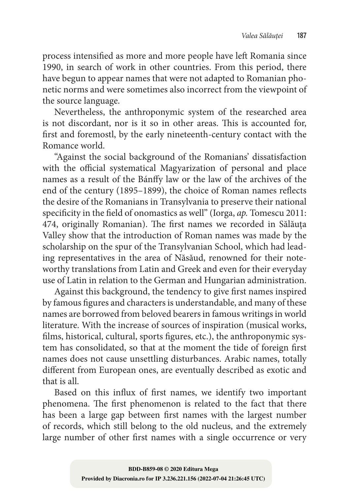process intensified as more and more people have left Romania since 1990, in search of work in other countries. From this period, there have begun to appear names that were not adapted to Romanian phonetic norms and were sometimes also incorrect from the viewpoint of the source language.

Nevertheless, the anthroponymic system of the researched area is not discordant, nor is it so in other areas. This is accounted for, first and foremostl, by the early nineteenth‑century contact with the Romance world.

"Against the social background of the Romanians' dissatisfaction with the official systematical Magyarization of personal and place names as a result of the Bánffy law or the law of the archives of the end of the century (1895–1899), the choice of Roman names reflects the desire of the Romanians in Transylvania to preserve their national specificity in the field of onomastics as well" (Iorga, *ap.* Tomescu 2011: 474, originally Romanian). The first names we recorded in Sălăuța Valley show that the introduction of Roman names was made by the scholarship on the spur of the Transylvanian School, which had leading representatives in the area of Năsăud, renowned for their noteworthy translations from Latin and Greek and even for their everyday use of Latin in relation to the German and Hungarian administration.

Against this background, the tendency to give first names inspired by famous figures and characters is understandable, and many of these names are borrowed from beloved bearers in famous writings in world literature. With the increase of sources of inspiration (musical works, films, historical, cultural, sports figures, etc.), the anthroponymic system has consolidated, so that at the moment the tide of foreign first names does not cause unsettling disturbances. Arabic names, totally different from European ones, are eventually described as exotic and that is all.

Based on this influx of first names, we identify two important phenomena. The first phenomenon is related to the fact that there has been a large gap between first names with the largest number of records, which still belong to the old nucleus, and the extremely large number of other first names with a single occurrence or very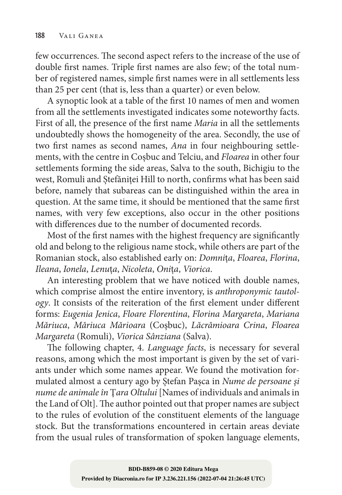few occurrences. The second aspect refers to the increase of the use of double first names. Triple first names are also few; of the total number of registered names, simple first names were in all settlements less than 25 per cent (that is, less than a quarter) or even below.

A synoptic look at a table of the first 10 names of men and women from all the settlements investigated indicates some noteworthy facts. First of all, the presence of the first name *Maria* in all the settlements undoubtedly shows the homogeneity of the area. Secondly, the use of two first names as second names, *Ana* in four neighbouring settlements, with the centre in Coșbuc and Telciu, and *Floarea* in other four settlements forming the side areas, Salva to the south, Bichigiu to the west, Romuli and Ștefăniței Hill to north, confirms what has been said before, namely that subareas can be distinguished within the area in question. At the same time, it should be mentioned that the same first names, with very few exceptions, also occur in the other positions with differences due to the number of documented records.

Most of the first names with the highest frequency are significantly old and belong to the religious name stock, while others are part of the Romanian stock, also established early on: *Domni*ț*a*, *Floarea*, *Florina*, *Ileana*, *Ionela*, *Lenu*ț*a*, *Nicoleta*, *Oni*ț*a*, *Viorica*.

An interesting problem that we have noticed with double names, which comprise almost the entire inventory, is *anthroponymic tautology*. It consists of the reiteration of the first element under different forms: *Eugenia Jenica*, *Floare Florentina*, *Florina Margareta*, *Mariana Măriuca*, *Măriuca Mărioara* (Coşbuc), *Lăcrămioara Crina*, *Floarea Margareta* (Romuli), *Viorica Sânziana* (Salva).

The following chapter, 4. *Language facts*, is necessary for several reasons, among which the most important is given by the set of variants under which some names appear. We found the motivation formulated almost a century ago by Ștefan Pașca in *Nume de persoane și nume de animale în* Ț*ara Oltului* [Names of individuals and animals in the Land of Olt]. The author pointed out that proper names are subject to the rules of evolution of the constituent elements of the language stock. But the transformations encountered in certain areas deviate from the usual rules of transformation of spoken language elements,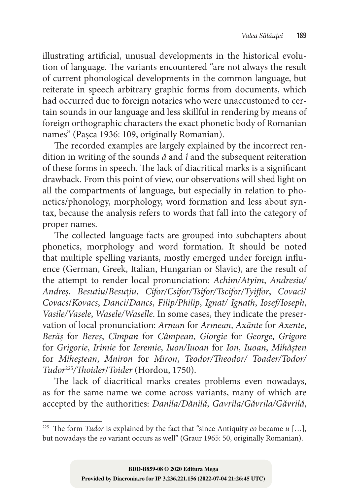illustrating artificial, unusual developments in the historical evolution of language. The variants encountered "are not always the result of current phonological developments in the common language, but reiterate in speech arbitrary graphic forms from documents, which had occurred due to foreign notaries who were unaccustomed to certain sounds in our language and less skillful in rendering by means of foreign orthographic characters the exact phonetic body of Romanian names" (Pașca 1936: 109, originally Romanian).

The recorded examples are largely explained by the incorrect rendition in writing of the sounds *ă* and *î* and the subsequent reiteration of these forms in speech. The lack of diacritical marks is a significant drawback. From this point of view, our observations will shed light on all the compartments of language, but especially in relation to phonetics/phonology, morphology, word formation and less about syntax, because the analysis refers to words that fall into the category of proper names.

The collected language facts are grouped into subchapters about phonetics, morphology and word formation. It should be noted that multiple spelling variants, mostly emerged under foreign influence (German, Greek, Italian, Hungarian or Slavic), are the result of the attempt to render local pronunciation: *Achim/Atyim*, *Andresiu/ Andreș*, *Besutiu*/*Besu*ț*iu*, *Cifor/Csifor/Tsifor/Tscifor/Tyiffor*, *Covaci*/ *Covacs*/*Kovacs*, *Danci*/*Dancs*, *Filip/Philip*, *Ignat/ Ignath*, *Iosef/Ioseph*, *Vasile/Vasele*, *Wasele/Waselle*. In some cases, they indicate the preser‑ vation of local pronunciation: *Arman* for *Armean*, *Axănte* for *Axente*, *Berăș* for *Bereș*, *Cîmpan* for *Câmpean*, *Giorgie* for *George*, *Grigore*  for *Grigorie*, *Irimie* for *Ieremie*, *Iuon/Iuoan* for *Ion*, *Iuoan*, *Mihășten*  for *Miheștean*, *Mniron* for *Miron*, *Teodor/Theodor/ Toader/Todor/ Tudor*<sup>225</sup>*/Thoider*/*Toider* (Hordou, 1750).

The lack of diacritical marks creates problems even nowadays, as for the same name we come across variants, many of which are accepted by the authorities: *Danila/Dănilă*, *Gavrila/Găvrila/Găvrilă*,

<sup>&</sup>lt;sup>225</sup> The form *Tudor* is explained by the fact that "since Antiquity *eo* became  $u$  [...], but nowadays the *eo* variant occurs as well" (Graur 1965: 50, originally Romanian).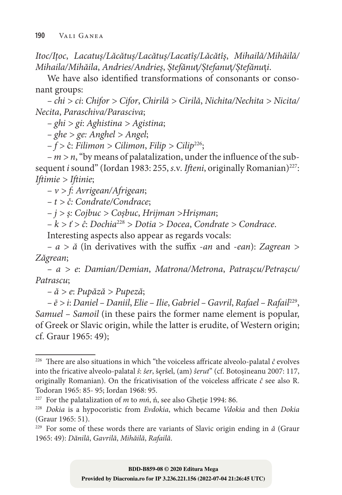*Itoc/Ițoc*, *Lacatuș/Lăcătuș/Lacătuș/Lacatîș/Lăcătîș*, *Mihailă/Mihăilă/ Mihaila/Mihăila*, *Andries/Andrieș*, *Ștefănu*ț*/Ștefanu*ț*/Ștefănu*ț*i*.

We have also identified transformations of consonants or consonant groups:

*– chi > ci*: *Chifor > Cifor*, *Chirilă > Cirilă*, *Nichita/Nechita > Nicita/ Necita*, *Paraschiva/Parasciva*;

*– ghi > gi*: *Aghistina > Agistina*;

*– ghe > ge: Anghel > Angel*;

– *f >* ĉ: *Filimon > Cilimon*, *Filip > Cilip*226;

 $-m > n$ , "by means of palatalization, under the influence of the subsequent *i* sound" (Iordan 1983: 255, *s.v. Ifteni*, originally Romanian)<sup>227</sup>: *Iftimie > Iftinie*;

– *v > f: Avrigean/Afrigean*;

*– t > č: Condrate/Condrace*;

– *j > ș: Cojbuc > Coșbuc*, *Hrijman >Hrișman*;

– *k > ť > ĉ*: *Dochia*<sup>228</sup> *> Dotia > Docea*, *Condrate > Condrace*.

Interesting aspects also appear as regards vocals:

*– a > ă* (în derivatives with the suffix ‑*an* and ‑*ean*): *Zagrean > Zăgrean*;

*– a > e*: *Damian/Demian*, *Matrona/Metrona*, *Patrașcu/Petrașcu/ Patrascu*;

*– ă > e*: *Pupăză > Pupeză*;

*– ē > i*: *Daniel – Daniil*, *Elie – Ilie*, *Gabriel – Gavril*, *Rafael – Rafail*229, *Samuel – Samoil* (in these pairs the former name element is popular, of Greek or Slavic origin, while the latter is erudite, of Western origin; cf. Graur 1965: 49);

<sup>&</sup>lt;sup>226</sup> There are also situations in which "the voiceless affricate alveolo-palatal  $\hat{c}$  evolves into the fricative alveolo‑palatal *ŝ*: *ŝer*, ŝęrŝel, (am) *ŝerut*" (cf. Botoşineanu 2007: 117, originally Romanian). On the fricativisation of the voiceless affricate *ĉ* see also R. Todoran 1965: 85‑ 95; Iordan 1968: 95.

<sup>227</sup> For the palatalization of *m* to *mń*, ń, see also Gheție 1994: 86.

<sup>228</sup> *Dokia* is a hypocoristic from *Evdokia*, which became *Vdokia* and then *Dokia* (Graur 1965: 51).

<sup>229</sup> For some of these words there are variants of Slavic origin ending in *ă* (Graur 1965: 49): *Dănilă*, *Gavrilă*, *Mihăilă*, *Rafailă*.